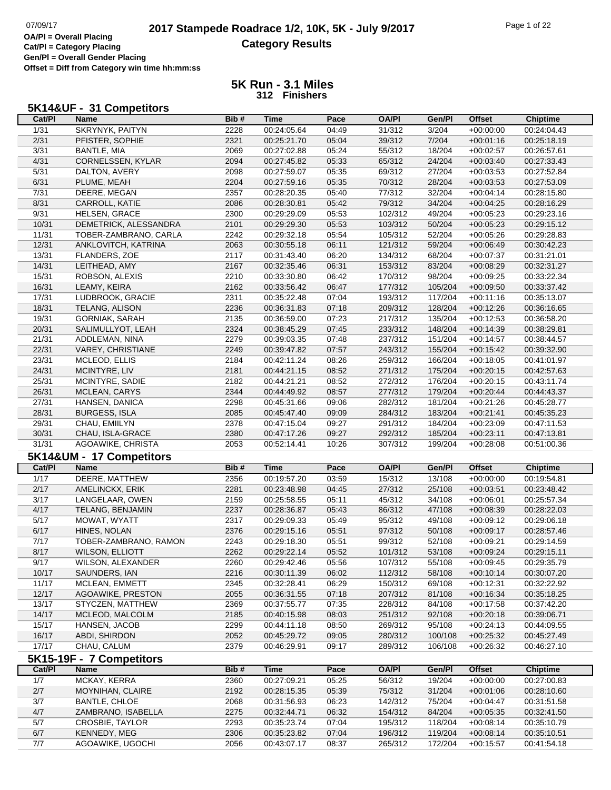> **5K Run - 3.1 Miles 312 Finishers**

## **5K14&UF - 31 Competitors**

| Cat/PI | Name                     | Bib# | Time                       | Pace  | <b>OA/PI</b> | Gen/Pl  | <b>Offset</b> | <b>Chiptime</b>            |
|--------|--------------------------|------|----------------------------|-------|--------------|---------|---------------|----------------------------|
| 1/31   | <b>SKRYNYK, PAITYN</b>   | 2228 | 00:24:05.64                | 04:49 | 31/312       | 3/204   | $+00:00:00$   | 00:24:04.43                |
| 2/31   | PFISTER, SOPHIE          | 2321 | 00:25:21.70                | 05:04 | 39/312       | 7/204   | $+00:01:16$   | 00:25:18.19                |
| 3/31   | <b>BANTLE, MIA</b>       | 2069 | 00:27:02.88                | 05:24 | 55/312       | 18/204  | $+00:02:57$   | 00:26:57.61                |
| 4/31   | CORNELSSEN, KYLAR        | 2094 | 00:27:45.82                | 05:33 | 65/312       | 24/204  | $+00:03:40$   | 00:27:33.43                |
| 5/31   | DALTON, AVERY            | 2098 | 00:27:59.07                | 05:35 | 69/312       | 27/204  | $+00:03:53$   | 00:27:52.84                |
| 6/31   | PLUME, MEAH              | 2204 | 00:27:59.16                | 05:35 | 70/312       | 28/204  | $+00:03:53$   | 00:27:53.09                |
| 7/31   | DEERE, MEGAN             | 2357 | 00:28:20.35                | 05:40 | 77/312       | 32/204  | $+00:04:14$   | 00:28:15.80                |
| 8/31   | CARROLL, KATIE           | 2086 | 00:28:30.81                | 05:42 | 79/312       | 34/204  | $+00:04:25$   | 00:28:16.29                |
| 9/31   | HELSEN, GRACE            | 2300 | 00:29:29.09                | 05:53 | 102/312      | 49/204  | $+00:05:23$   | 00:29:23.16                |
| 10/31  | DEMETRICK, ALESSANDRA    | 2101 | 00:29:29.30                | 05:53 | 103/312      | 50/204  | $+00:05:23$   | 00:29:15.12                |
| 11/31  | TOBER-ZAMBRANO, CARLA    | 2242 | 00:29:32.18                | 05:54 | 105/312      | 52/204  | $+00:05:26$   | 00:29:28.83                |
| 12/31  | ANKLOVITCH, KATRINA      | 2063 | 00:30:55.18                | 06:11 | 121/312      | 59/204  | $+00:06:49$   | 00:30:42.23                |
| 13/31  | FLANDERS, ZOE            | 2117 | 00:31:43.40                | 06:20 | 134/312      | 68/204  | $+00:07:37$   | 00:31:21.01                |
| 14/31  | LEITHEAD, AMY            | 2167 | 00:32:35.46                | 06:31 | 153/312      | 83/204  | $+00:08:29$   | 00:32:31.27                |
| 15/31  | ROBSON, ALEXIS           | 2210 | 00:33:30.80                | 06:42 | 170/312      | 98/204  | $+00:09:25$   | 00:33:22.34                |
| 16/31  | LEAMY, KEIRA             | 2162 | 00:33:56.42                | 06:47 | 177/312      | 105/204 | $+00:09:50$   | 00:33:37.42                |
| 17/31  | LUDBROOK, GRACIE         | 2311 | 00:35:22.48                | 07:04 | 193/312      | 117/204 | $+00:11:16$   | 00:35:13.07                |
| 18/31  | TELANG, ALISON           | 2236 | 00:36:31.83                | 07:18 | 209/312      | 128/204 | $+00:12:26$   | 00:36:16.65                |
| 19/31  | <b>GORNIAK, SARAH</b>    | 2135 | 00:36:59.00                | 07:23 | 217/312      | 135/204 | $+00:12:53$   | 00:36:58.20                |
| 20/31  | SALIMULLYOT, LEAH        | 2324 | 00:38:45.29                | 07:45 | 233/312      | 148/204 | $+00:14:39$   | 00:38:29.81                |
| 21/31  | ADDLEMAN, NINA           | 2279 | 00:39:03.35                | 07:48 | 237/312      | 151/204 | $+00:14:57$   | 00:38:44.57                |
| 22/31  | VAREY, CHRISTIANE        | 2249 | 00:39:47.82                | 07:57 | 243/312      | 155/204 | $+00:15:42$   | 00:39:32.90                |
| 23/31  | MCLEOD, ELLIS            | 2184 | 00:42:11.24                | 08:26 | 259/312      | 166/204 | $+00:18:05$   | 00:41:01.97                |
| 24/31  |                          | 2181 |                            |       |              |         |               |                            |
| 25/31  | MCINTYRE, LIV            |      | 00:44:21.15<br>00:44:21.21 | 08:52 | 271/312      | 175/204 | $+00:20:15$   | 00:42:57.63<br>00:43:11.74 |
|        | MCINTYRE, SADIE          | 2182 |                            | 08:52 | 272/312      | 176/204 | $+00:20:15$   |                            |
| 26/31  | MCLEAN, CARYS            | 2344 | 00:44:49.92                | 08:57 | 277/312      | 179/204 | $+00:20:44$   | 00:44:43.37                |
| 27/31  | HANSEN, DANICA           | 2298 | 00:45:31.66                | 09:06 | 282/312      | 181/204 | $+00:21:26$   | 00:45:28.77                |
| 28/31  | <b>BURGESS, ISLA</b>     | 2085 | 00:45:47.40                | 09:09 | 284/312      | 183/204 | $+00:21:41$   | 00:45:35.23                |
| 29/31  | CHAU, EMIILYN            | 2378 | 00:47:15.04                | 09:27 | 291/312      | 184/204 | $+00:23:09$   | 00:47:11.53                |
| 30/31  | CHAU, ISLA-GRACE         | 2380 | 00:47:17.26                | 09:27 | 292/312      | 185/204 | $+00:23:11$   | 00:47:13.81                |
| 31/31  | AGOAWIKE, CHRISTA        | 2053 | 00:52:14.41                | 10:26 | 307/312      | 199/204 | $+00:28:08$   | 00:51:00.36                |
|        | 5K14&UM - 17 Competitors |      |                            |       |              |         |               |                            |
| Cat/PI | Name                     | Bib# | <b>Time</b>                | Pace  | <b>OA/PI</b> | Gen/PI  | <b>Offset</b> | <b>Chiptime</b>            |
| 1/17   | DEERE, MATTHEW           | 2356 | 00:19:57.20                | 03:59 | 15/312       | 13/108  | $+00:00:00$   | 00:19:54.81                |
| 2/17   | AMELINCKX, ERIK          | 2281 | 00:23:48.98                | 04:45 | 27/312       | 25/108  | $+00:03:51$   | 00:23:48.42                |
| 3/17   | LANGELAAR, OWEN          | 2159 | 00:25:58.55                | 05:11 | 45/312       | 34/108  | $+00:06:01$   | 00:25:57.34                |
| 4/17   | TELANG, BENJAMIN         | 2237 | 00:28:36.87                | 05:43 | 86/312       | 47/108  | $+00:08:39$   | 00:28:22.03                |
| 5/17   | MOWAT, WYATT             | 2317 | 00:29:09.33                | 05:49 | 95/312       | 49/108  | $+00:09:12$   | 00:29:06.18                |
| 6/17   | HINES, NOLAN             | 2376 | 00:29:15.16                | 05:51 | 97/312       | 50/108  | $+00:09:17$   | 00:28:57.46                |
| 7/17   | TOBER-ZAMBRANO, RAMON    | 2243 | 00:29:18.30                | 05:51 | 99/312       | 52/108  | $+00:09:21$   | 00:29:14.59                |
| 8/17   | <b>WILSON, ELLIOTT</b>   | 2262 | 00:29:22.14                | 05:52 | 101/312      | 53/108  | $+00:09:24$   | 00:29:15.11                |
| 9/17   | WILSON, ALEXANDER        | 2260 | 00:29:42.46                | 05:56 | 107/312      | 55/108  | $+00:09:45$   | 00:29:35.79                |
| 10/17  | SAUNDERS, IAN            | 2216 | 00:30:11.39                | 06:02 | 112/312      | 58/108  | $+00:10:14$   | 00:30:07.20                |
| 11/17  | MCLEAN, EMMETT           | 2345 | 00:32:28.41                | 06:29 | 150/312      | 69/108  | $+00:12:31$   | 00:32:22.92                |
| 12/17  | AGOAWIKE, PRESTON        | 2055 | 00:36:31.55                | 07:18 | 207/312      | 81/108  | $+00:16:34$   | 00:35:18.25                |
| 13/17  | STYCZEN, MATTHEW         | 2369 | 00:37:55.77                | 07:35 | 228/312      | 84/108  | $+00:17:58$   | 00:37:42.20                |
| 14/17  | MCLEOD, MALCOLM          | 2185 | 00:40:15.98                | 08:03 | 251/312      | 92/108  | $+00:20:18$   | 00:39:06.71                |
| 15/17  | HANSEN, JACOB            | 2299 | 00:44:11.18                | 08:50 | 269/312      | 95/108  | $+00:24:13$   | 00:44:09.55                |
| 16/17  | ABDI, SHIRDON            | 2052 | 00:45:29.72                | 09:05 | 280/312      | 100/108 | $+00:25:32$   | 00:45:27.49                |
| 17/17  | CHAU, CALUM              | 2379 | 00:46:29.91                | 09:17 | 289/312      | 106/108 | $+00:26:32$   | 00:46:27.10                |
|        | 5K15-19F - 7 Competitors |      |                            |       |              |         |               |                            |
| Cat/PI | Name                     | Bib# | <b>Time</b>                | Pace  | <b>OA/PI</b> | Gen/PI  | <b>Offset</b> | <b>Chiptime</b>            |
| 1/7    | MCKAY, KERRA             | 2360 | 00:27:09.21                | 05:25 | 56/312       | 19/204  | $+00:00:00$   | 00:27:00.83                |
| 2/7    | MOYNIHAN, CLAIRE         | 2192 | 00:28:15.35                | 05:39 | 75/312       | 31/204  | $+00:01:06$   | 00:28:10.60                |
| 3/7    | <b>BANTLE, CHLOE</b>     | 2068 | 00:31:56.93                | 06:23 | 142/312      | 75/204  | $+00:04:47$   | 00:31:51.58                |
| 4/7    | ZAMBRANO, ISABELLA       | 2275 | 00:32:44.71                | 06:32 | 154/312      | 84/204  | $+00:05:35$   | 00:32:41.50                |
| 5/7    | <b>CROSBIE, TAYLOR</b>   | 2293 | 00:35:23.74                | 07:04 | 195/312      | 118/204 | $+00:08:14$   | 00:35:10.79                |
| $6/7$  | KENNEDY, MEG             | 2306 | 00:35:23.82                | 07:04 | 196/312      | 119/204 | $+00:08:14$   | 00:35:10.51                |
| $7/7$  | AGOAWIKE, UGOCHI         | 2056 | 00:43:07.17                | 08:37 | 265/312      | 172/204 | $+00:15:57$   | 00:41:54.18                |
|        |                          |      |                            |       |              |         |               |                            |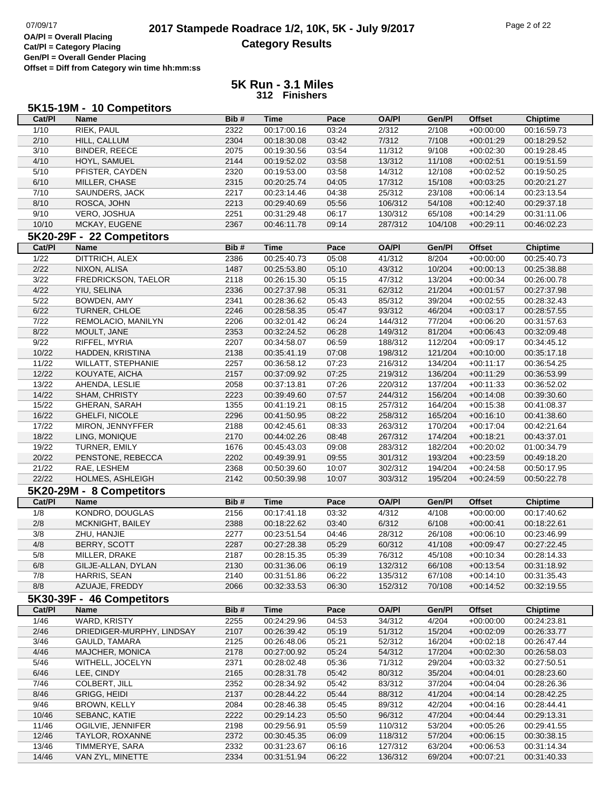### **5K Run - 3.1 Miles 312 Finishers**

|                | 5K15-19M - 10 Competitors      |              |                            |               |              |                 |               |                                |
|----------------|--------------------------------|--------------|----------------------------|---------------|--------------|-----------------|---------------|--------------------------------|
| Cat/Pl         | <b>Name</b>                    | Bib#         | <b>Time</b>                | Pace          | <b>OA/PI</b> | Gen/Pl          | <b>Offset</b> | <b>Chiptime</b>                |
| 1/10           | <b>RIEK, PAUL</b>              | 2322         | 00:17:00.16                | 03:24         | 2/312        | 2/108           | $+00:00:00$   | 00:16:59.73                    |
| 2/10           | HILL, CALLUM                   | 2304         | 00:18:30.08                | 03:42         | 7/312        | 7/108           | $+00:01:29$   | 00:18:29.52                    |
| 3/10           | <b>BINDER, REECE</b>           | 2075         | 00:19:30.56                | 03:54         | 11/312       | 9/108           | $+00:02:30$   | 00:19:28.45                    |
| 4/10           | HOYL, SAMUEL                   | 2144         | 00:19:52.02                | 03:58         | 13/312       | 11/108          | $+00:02:51$   | 00:19:51.59                    |
| 5/10           | PFISTER, CAYDEN                | 2320         | 00:19:53.00                | 03:58         | 14/312       | 12/108          | $+00:02:52$   | 00:19:50.25                    |
| 6/10           | MILLER, CHASE                  | 2315         | 00:20:25.74                | 04:05         | 17/312       | 15/108          | $+00:03:25$   | 00:20:21.27                    |
| 7/10           | SAUNDERS, JACK                 | 2217         | 00:23:14.46                | 04:38         | 25/312       | 23/108          | $+00:06:14$   | 00:23:13.54                    |
| 8/10           |                                |              | 00:29:40.69                |               | 106/312      |                 | $+00:12:40$   |                                |
| 9/10           | ROSCA, JOHN                    | 2213<br>2251 |                            | 05:56         |              | 54/108          |               | 00:29:37.18<br>00:31:11.06     |
| 10/10          | VERO, JOSHUA                   | 2367         | 00:31:29.48<br>00:46:11.78 | 06:17         | 130/312      | 65/108          | $+00:14:29$   |                                |
|                | MCKAY, EUGENE                  |              |                            | 09:14         | 287/312      | 104/108         | $+00:29:11$   | 00:46:02.23                    |
|                | 5K20-29F - 22 Competitors      |              |                            |               |              |                 |               |                                |
| Cat/Pl         | <b>Name</b>                    | Bib#         | <b>Time</b>                | Pace          | <b>OA/PI</b> | Gen/Pl          | <b>Offset</b> | <b>Chiptime</b>                |
| $\frac{1}{22}$ | DITTRICH, ALEX                 | 2386         | 00:25:40.73                | 05:08         | 41/312       | 8/204           | $+00:00:00$   | 00:25:40.73                    |
| 2/22           | NIXON, ALISA                   | 1487         | 00:25:53.80                | 05:10         | 43/312       | 10/204          | $+00:00:13$   | 00:25:38.88                    |
| 3/22           | FREDRICKSON, TAELOR            | 2118         | 00:26:15.30                | 05:15         | 47/312       | 13/204          | $+00:00:34$   | 00:26:00.78                    |
| 4/22           | YIU, SELINA                    | 2336         | 00:27:37.98                | 05:31         | 62/312       | 21/204          | $+00:01:57$   | 00:27:37.98                    |
| $5/22$         | BOWDEN, AMY                    | 2341         | 00:28:36.62                | 05:43         | 85/312       | 39/204          | $+00:02:55$   | 00:28:32.43                    |
| $6/22$         | TURNER, CHLOE                  | 2246         | 00:28:58.35                | 05:47         | 93/312       | 46/204          | $+00:03:17$   | 00:28:57.55                    |
| 7/22           | REMOLACIO, MANILYN             | 2206         | 00:32:01.42                | 06:24         | 144/312      | 77/204          | $+00:06:20$   | 00:31:57.63                    |
| 8/22           | MOULT, JANE                    | 2353         | 00:32:24.52                | 06:28         | 149/312      | 81/204          | $+00:06:43$   | 00:32:09.48                    |
| 9/22           | RIFFEL, MYRIA                  | 2207         | 00:34:58.07                | 06:59         | 188/312      | 112/204         | $+00:09:17$   | 00:34:45.12                    |
| 10/22          | HADDEN, KRISTINA               | 2138         | 00:35:41.19                | 07:08         | 198/312      | 121/204         | $+00:10:00$   | 00:35:17.18                    |
| 11/22          | <b>WILLATT, STEPHANIE</b>      | 2257         | 00:36:58.12                | 07:23         | 216/312      | 134/204         | $+00:11:17$   | 00:36:54.25                    |
| 12/22          | KOUYATE, AICHA                 | 2157         | 00:37:09.92                | 07:25         | 219/312      | 136/204         | $+00:11:29$   | 00:36:53.99                    |
| 13/22          | AHENDA, LESLIE                 | 2058         | 00:37:13.81                | 07:26         | 220/312      | 137/204         | $+00:11:33$   | 00:36:52.02                    |
| 14/22          | SHAM, CHRISTY                  | 2223         | 00:39:49.60                | 07:57         | 244/312      | 156/204         | $+00:14:08$   | 00:39:30.60                    |
| 15/22          | <b>GHERAN, SARAH</b>           | 1355         | 00:41:19.21                | 08:15         | 257/312      | 164/204         | $+00:15:38$   | 00:41:08.37                    |
| 16/22          | <b>GHELFI, NICOLE</b>          | 2296         | 00:41:50.95                | 08:22         | 258/312      | 165/204         | $+00:16:10$   | 00:41:38.60                    |
| 17/22          | MIRON, JENNYFFER               | 2188         | 00:42:45.61                | 08:33         | 263/312      | 170/204         | $+00:17:04$   | 00:42:21.64                    |
| 18/22          | LING, MONIQUE                  | 2170         | 00:44:02.26                | 08:48         | 267/312      | 174/204         | $+00:18:21$   | 00:43:37.01                    |
| 19/22          | TURNER, EMILY                  | 1676         | 00:45:43.03                | 09:08         | 283/312      | 182/204         | $+00:20:02$   | 01:00:34.79                    |
| 20/22          | PENSTONE, REBECCA              | 2202         | 00:49:39.91                | 09:55         | 301/312      | 193/204         | $+00:23:59$   | 00:49:18.20                    |
| 21/22          | RAE, LESHEM                    | 2368         | 00:50:39.60                | 10:07         | 302/312      | 194/204         | $+00:24:58$   | 00:50:17.95                    |
| 22/22          | HOLMES, ASHLEIGH               | 2142         | 00:50:39.98                | 10:07         | 303/312      | 195/204         | $+00:24:59$   | 00:50:22.78                    |
|                | 5K20-29M - 8 Competitors       |              |                            |               |              |                 |               |                                |
|                |                                | Bib#         | <b>Time</b>                |               | <b>OA/PI</b> |                 |               |                                |
| Cat/PI         | <b>Name</b><br>KONDRO, DOUGLAS |              | 00:17:41.18                | Pace<br>03:32 |              | Gen/Pl<br>4/108 | <b>Offset</b> | <b>Chiptime</b><br>00:17:40.62 |
| 1/8            |                                | 2156         |                            |               | 4/312        |                 | $+00:00:00$   |                                |
| 2/8            | MCKNIGHT, BAILEY               | 2388         | 00:18:22.62                | 03:40         | 6/312        | 6/108           | $+00:00:41$   | 00:18:22.61                    |
| 3/8            | ZHU, HANJIE                    | 2277         | 00:23:51.54                | 04:46         | 28/312       | 26/108          | $+00:06:10$   | 00:23:46.99                    |
| 4/8            | BERRY, SCOTT                   | 2287         | 00:27:28.38                | 05:29         | 60/312       | 41/108          | $+00:09:47$   | 00:27:22.45                    |
| 5/8            | MILLER, DRAKE                  | 2187         | 00:28:15.35                | 05:39         | 76/312       | 45/108          | $+00:10:34$   | 00:28:14.33                    |
| 6/8            | GILJE-ALLAN, DYLAN             | 2130         | 00:31:36.06                | 06:19         | 132/312      | 66/108          | $+00:13:54$   | 00:31:18.92                    |
| 7/8            | HARRIS, SEAN                   | 2140         | 00:31:51.86                | 06:22         | 135/312      | 67/108          | $+00:14:10$   | 00:31:35.43                    |
| 8/8            | AZUAJE, FREDDY                 | 2066         | 00:32:33.53                | 06:30         | 152/312      | 70/108          | $+00:14:52$   | 00:32:19.55                    |
|                | 5K30-39F - 46 Competitors      |              |                            |               |              |                 |               |                                |
| Cat/PI         | Name                           | Bib#         | <b>Time</b>                | Pace          | <b>OA/PI</b> | Gen/Pl          | <b>Offset</b> | <b>Chiptime</b>                |
| 1/46           | WARD, KRISTY                   | 2255         | 00:24:29.96                | 04:53         | 34/312       | 4/204           | $+00:00:00$   | 00:24:23.81                    |
| 2/46           | DRIEDIGER-MURPHY, LINDSAY      | 2107         | 00:26:39.42                | 05:19         | 51/312       | 15/204          | $+00:02:09$   | 00:26:33.77                    |
| 3/46           | GAULD, TAMARA                  | 2125         | 00:26:48.06                | 05:21         | 52/312       | 16/204          | $+00:02:18$   | 00:26:47.44                    |
| 4/46           | MAJCHER, MONICA                | 2178         | 00:27:00.92                | 05:24         | 54/312       | 17/204          | $+00:02:30$   | 00:26:58.03                    |
| 5/46           | WITHELL, JOCELYN               | 2371         | 00:28:02.48                | 05:36         | 71/312       | 29/204          | $+00:03:32$   | 00:27:50.51                    |
| 6/46           | LEE, CINDY                     | 2165         | 00:28:31.78                | 05:42         | 80/312       | 35/204          | $+00:04:01$   | 00:28:23.60                    |
| 7/46           | COLBERT, JILL                  | 2352         | 00:28:34.92                | 05:42         | 83/312       | 37/204          | $+00:04:04$   | 00:28:26.36                    |
| 8/46           | GRIGG, HEIDI                   | 2137         | 00:28:44.22                | 05:44         | 88/312       | 41/204          | $+00:04:14$   | 00:28:42.25                    |
| 9/46           | BROWN, KELLY                   | 2084         | 00:28:46.38                | 05:45         | 89/312       | 42/204          | $+00:04:16$   | 00:28:44.41                    |
| 10/46          | SEBANC, KATIE                  | 2222         | 00:29:14.23                | 05:50         | 96/312       | 47/204          | $+00:04:44$   | 00:29:13.31                    |
| 11/46          | OGILVIE, JENNIFER              | 2198         | 00:29:56.91                | 05:59         | 110/312      | 53/204          | $+00:05:26$   | 00:29:41.55                    |
| 12/46          | TAYLOR, ROXANNE                | 2372         | 00:30:45.35                | 06:09         | 118/312      | 57/204          | $+00:06:15$   | 00:30:38.15                    |
| 13/46          | TIMMERYE, SARA                 | 2332         | 00:31:23.67                | 06:16         | 127/312      | 63/204          | $+00:06:53$   | 00:31:14.34                    |
| 14/46          | VAN ZYL, MINETTE               | 2334         | 00:31:51.94                | 06:22         | 136/312      | 69/204          | $+00:07:21$   | 00:31:40.33                    |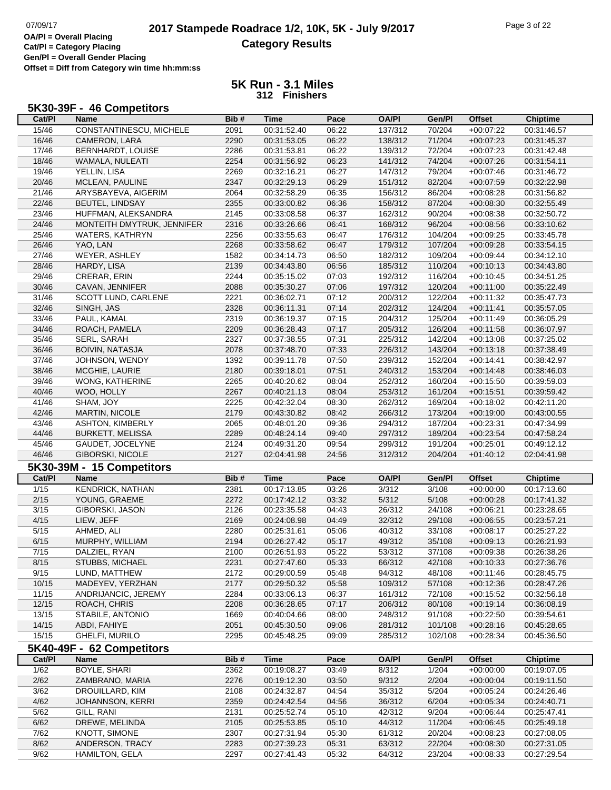## 07/09/17 **2017 Stampede Roadrace 1/2, 10K, 5K - July 9/2017** Page 3 of 22<br>**OA/PI** = Overall Placing **Category Results**

**Cat/Pl = Category Placing Gen/Pl = Overall Gender Placing**

**Offset = Diff from Category win time hh:mm:ss**

#### **5K Run - 3.1 Miles 312 Finishers**

| Cat/PI         | 5K30-39F - 46 Competitors<br><b>Name</b> | Bib# | <b>Time</b> | Pace  | <b>OA/PI</b>       | Gen/Pl  | <b>Offset</b>              | <b>Chiptime</b> |
|----------------|------------------------------------------|------|-------------|-------|--------------------|---------|----------------------------|-----------------|
| 15/46          | CONSTANTINESCU, MICHELE                  | 2091 | 00:31:52.40 | 06:22 | 137/312            | 70/204  | $+00:07:22$                | 00:31:46.57     |
| 16/46          | CAMERON, LARA                            | 2290 | 00:31:53.05 | 06:22 | 138/312            | 71/204  | $+00:07:23$                | 00:31:45.37     |
| 17/46          | BERNHARDT, LOUISE                        | 2286 | 00:31:53.81 | 06:22 | 139/312            | 72/204  | $+00:07:23$                | 00:31:42.48     |
| 18/46          | WAMALA, NULEATI                          | 2254 | 00:31:56.92 | 06:23 | 141/312            | 74/204  | $+00:07:26$                | 00:31:54.11     |
| 19/46          | YELLIN, LISA                             | 2269 | 00:32:16.21 | 06:27 | 147/312            | 79/204  | $+00:07:46$                | 00:31:46.72     |
| 20/46          | MCLEAN, PAULINE                          | 2347 | 00:32:29.13 | 06:29 | 151/312            | 82/204  | $+00:07:59$                | 00:32:22.98     |
| 21/46          | ARYSBAYEVA, AIGERIM                      | 2064 | 00:32:58.29 | 06:35 | 156/312            | 86/204  | $+00:08:28$                | 00:31:56.82     |
| 22/46          | <b>BEUTEL, LINDSAY</b>                   | 2355 | 00:33:00.82 | 06:36 | 158/312            | 87/204  | $+00:08:30$                | 00:32:55.49     |
| 23/46          | HUFFMAN, ALEKSANDRA                      | 2145 | 00:33:08.58 | 06:37 | 162/312            | 90/204  | $+00:08:38$                | 00:32:50.72     |
| 24/46          | MONTEITH DMYTRUK, JENNIFER               | 2316 | 00:33:26.66 | 06:41 | 168/312            | 96/204  | $+00:08:56$                | 00:33:10.62     |
| 25/46          | WATERS, KATHRYN                          | 2256 | 00:33:55.63 | 06:47 | 176/312            | 104/204 | $+00:09:25$                | 00:33:45.78     |
| 26/46          | YAO, LAN                                 | 2268 | 00:33:58.62 | 06:47 | 179/312            | 107/204 | $+00:09:28$                | 00:33:54.15     |
| 27/46          | WEYER, ASHLEY                            | 1582 | 00:34:14.73 | 06:50 | 182/312            | 109/204 | $+00:09:44$                | 00:34:12.10     |
| 28/46          | HARDY, LISA                              | 2139 | 00:34:43.80 | 06:56 | 185/312            | 110/204 | $+00:10:13$                | 00:34:43.80     |
| 29/46          | CRERAR, ERIN                             | 2244 | 00:35:15.02 | 07:03 | 192/312            | 116/204 | $+00:10:45$                | 00:34:51.25     |
| 30/46          | CAVAN, JENNIFER                          | 2088 | 00:35:30.27 | 07:06 | 197/312            | 120/204 | $+00:11:00$                | 00:35:22.49     |
| 31/46          | SCOTT LUND, CARLENE                      | 2221 | 00:36:02.71 | 07:12 | 200/312            | 122/204 | $+00:11:32$                | 00:35:47.73     |
| 32/46          | SINGH, JAS                               | 2328 | 00:36:11.31 | 07:14 | 202/312            | 124/204 | $+00:11:41$                | 00:35:57.05     |
| 33/46          | PAUL, KAMAL                              | 2319 | 00:36:19.37 | 07:15 | 204/312            | 125/204 | $+00:11:49$                | 00:36:05.29     |
| 34/46          | ROACH, PAMELA                            | 2209 | 00:36:28.43 | 07:17 | 205/312            | 126/204 | $+00:11:58$                | 00:36:07.97     |
| 35/46          | SERL, SARAH                              | 2327 | 00:37:38.55 | 07:31 | 225/312            | 142/204 | $+00:13:08$                | 00:37:25.02     |
| 36/46          | <b>BOIVIN, NATASJA</b>                   | 2078 | 00:37:48.70 | 07:33 | 226/312            | 143/204 | $+00:13:18$                | 00:37:38.49     |
| 37/46          | JOHNSON, WENDY                           | 1392 | 00:39:11.78 | 07:50 | 239/312            | 152/204 | $+00:14:41$                | 00:38:42.97     |
| 38/46          | MCGHIE, LAURIE                           | 2180 | 00:39:18.01 | 07:51 | 240/312            | 153/204 | $+00:14:48$                | 00:38:46.03     |
| 39/46          | <b>WONG, KATHERINE</b>                   | 2265 | 00:40:20.62 | 08:04 | 252/312            | 160/204 | $+00:15:50$                | 00:39:59.03     |
| 40/46          | WOO, HOLLY                               | 2267 | 00:40:21.13 | 08:04 | 253/312            | 161/204 | $+00:15:51$                | 00:39:59.42     |
| 41/46          | SHAM, JOY                                | 2225 | 00:42:32.04 | 08:30 | 262/312            | 169/204 | $+00:18:02$                | 00:42:11.20     |
| 42/46          | <b>MARTIN, NICOLE</b>                    | 2179 | 00:43:30.82 | 08:42 | 266/312            | 173/204 | $+00:19:00$                | 00:43:00.55     |
| 43/46          | <b>ASHTON, KIMBERLY</b>                  | 2065 | 00:48:01.20 | 09:36 | 294/312            | 187/204 | $+00:23:31$                | 00:47:34.99     |
| 44/46          | <b>BURKETT, MELISSA</b>                  | 2289 | 00:48:24.14 | 09:40 | 297/312            | 189/204 | $+00:23:54$                | 00:47:58.24     |
| 45/46          | GAUDET, JOCELYNE                         | 2124 | 00:49:31.20 | 09:54 | 299/312            | 191/204 | $+00:25:01$                | 00:49:12.12     |
| 46/46          | <b>GIBORSKI, NICOLE</b>                  | 2127 | 02:04:41.98 | 24:56 | 312/312            | 204/204 | $+01:40:12$                | 02:04:41.98     |
|                | 5K30-39M - 15 Competitors                |      |             |       |                    |         |                            |                 |
| Cat/PI         | <b>Name</b>                              | Bib# | <b>Time</b> | Pace  | <b>OA/PI</b>       | Gen/Pl  | <b>Offset</b>              | <b>Chiptime</b> |
| 1/15           | <b>KENDRICK, NATHAN</b>                  | 2381 | 00:17:13.85 | 03:26 | 3/312              | 3/108   | $+00:00:00$                | 00:17:13.60     |
| 2/15           | YOUNG, GRAEME                            | 2272 | 00:17:42.12 | 03:32 | 5/312              | 5/108   | $+00:00:28$                | 00:17:41.32     |
| $\frac{3}{15}$ | GIBORSKI, JASON                          | 2126 | 00:23:35.58 | 04:43 | 26/312             | 24/108  | $+00:06:21$                | 00:23:28.65     |
| 4/15           |                                          | 2169 | 00:24:08.98 | 04:49 | 32/312             | 29/108  | $+00:06:55$                | 00:23:57.21     |
| 5/15           | LIEW, JEFF<br>AHMED, ALI                 | 2280 | 00:25:31.61 | 05:06 | 40/312             | 33/108  | $+00:08:17$                | 00:25:27.22     |
| 6/15           | MURPHY, WILLIAM                          | 2194 | 00:26:27.42 | 05:17 | 49/312             | 35/108  | $+00:09:13$                | 00:26:21.93     |
| 7/15           | DALZIEL, RYAN                            | 2100 | 00:26:51.93 | 05:22 | 53/312             | 37/108  |                            | 00:26:38.26     |
| 8/15           | STUBBS, MICHAEL                          | 2231 | 00:27:47.60 | 05:33 | 66/312             | 42/108  | $+00:09:38$<br>$+00:10:33$ | 00:27:36.76     |
| 9/15           | LUND, MATTHEW                            | 2172 | 00:29:00.59 | 05:48 | 94/312             | 48/108  | $+00:11:46$                | 00:28:45.75     |
| 10/15          | MADEYEV, YERZHAN                         | 2177 | 00:29:50.32 | 05:58 | 109/312            | 57/108  | $+00:12:36$                | 00:28:47.26     |
| 11/15          | ANDRIJANCIC, JEREMY                      | 2284 | 00:33:06.13 | 06:37 | 161/312            | 72/108  | $+00:15:52$                | 00:32:56.18     |
| 12/15          | ROACH, CHRIS                             | 2208 | 00:36:28.65 | 07:17 |                    | 80/108  | $+00:19:14$                | 00:36:08.19     |
| 13/15          | STABILE, ANTONIO                         | 1669 | 00:40:04.66 | 08:00 | 206/312<br>248/312 | 91/108  | $+00:22:50$                | 00:39:54.61     |
| 14/15          | ABDI, FAHIYE                             | 2051 | 00:45:30.50 | 09:06 | 281/312            | 101/108 | $+00:28:16$                | 00:45:28.65     |
| 15/15          | GHELFI, MURILO                           | 2295 | 00:45:48.25 | 09:09 |                    | 102/108 | $+00:28:34$                |                 |
|                |                                          |      |             |       | 285/312            |         |                            | 00:45:36.50     |
|                | 5K40-49F - 62 Competitors                |      |             |       |                    |         |                            |                 |
| Cat/PI         | Name                                     | Bib# | <b>Time</b> | Pace  | <b>OA/PI</b>       | Gen/Pl  | <b>Offset</b>              | <b>Chiptime</b> |
| 1/62           | BOYLE, SHARI                             | 2362 | 00:19:08.27 | 03:49 | 8/312              | 1/204   | $+00:00:00$                | 00:19:07.05     |
| 2/62           | ZAMBRANO, MARIA                          | 2276 | 00:19:12.30 | 03:50 | 9/312              | 2/204   | $+00:00:04$                | 00:19:11.50     |
| 3/62           | DROUILLARD, KIM                          | 2108 | 00:24:32.87 | 04:54 | 35/312             | 5/204   | $+00:05:24$                | 00:24:26.46     |
| 4/62           | JOHANNSON, KERRI                         | 2359 | 00:24:42.54 | 04:56 | 36/312             | 6/204   | $+00:05:34$                | 00:24:40.71     |
| 5/62           | GILL, RANI                               | 2131 | 00:25:52.74 | 05:10 | 42/312             | 9/204   | $+00:06:44$                | 00:25:47.41     |

6/62 DREWE, MELINDA 2105 00:25:53.85 05:10 44/312 11/204 +00:06:45 00:25:49.18 7/62 KNOTT, SIMONE 2307 00:27:31.94 05:30 61/312 20/204 +00:08:23 00:27:08.05 8/62 ANDERSON, TRACY 2283 00:27:39.23 05:31 63/312 22/204 +00:08:30 00:27:31.05 9/62 HAMILTON, GELA 2297 00:27:41.43 05:32 64/312 23/204 +00:08:33 00:27:29.54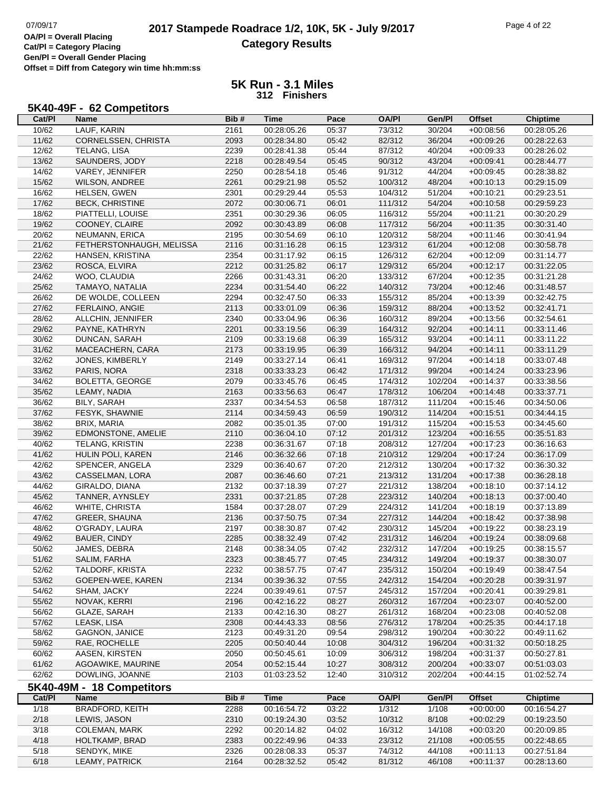#### **5K Run - 3.1 Miles 312 Finishers**

#### **5K40-49F - 62 Competitors**

| Cat/PI | Name                      | Bib# | <b>Time</b> | Pace  | <b>OA/PI</b> | Gen/Pl  | <b>Offset</b> | <b>Chiptime</b> |
|--------|---------------------------|------|-------------|-------|--------------|---------|---------------|-----------------|
| 10/62  | LAUF, KARIN               | 2161 | 00:28:05.26 | 05:37 | 73/312       | 30/204  | $+00:08:56$   | 00:28:05.26     |
| 11/62  | CORNELSSEN, CHRISTA       | 2093 | 00:28:34.80 | 05:42 | 82/312       | 36/204  | $+00:09:26$   | 00:28:22.63     |
| 12/62  | TELANG, LISA              | 2239 | 00:28:41.38 | 05:44 | 87/312       | 40/204  | $+00:09:33$   | 00:28:26.02     |
| 13/62  | SAUNDERS, JODY            | 2218 | 00:28:49.54 | 05:45 | 90/312       | 43/204  | $+00:09:41$   | 00:28:44.77     |
| 14/62  | VAREY, JENNIFER           | 2250 | 00:28:54.18 | 05:46 | 91/312       | 44/204  | $+00:09:45$   | 00:28:38.82     |
| 15/62  | WILSON, ANDREE            | 2261 | 00:29:21.98 | 05:52 | 100/312      | 48/204  | $+00:10:13$   | 00:29:15.09     |
| 16/62  | HELSEN, GWEN              | 2301 | 00:29:29.44 | 05:53 | 104/312      | 51/204  | $+00:10:21$   | 00:29:23.51     |
| 17/62  | <b>BECK, CHRISTINE</b>    | 2072 | 00:30:06.71 | 06:01 | 111/312      | 54/204  | $+00:10:58$   | 00:29:59.23     |
| 18/62  | PIATTELLI, LOUISE         | 2351 | 00:30:29.36 | 06:05 | 116/312      | 55/204  | $+00:11:21$   | 00:30:20.29     |
| 19/62  | COONEY, CLAIRE            | 2092 | 00:30:43.89 | 06:08 | 117/312      | 56/204  | $+00:11:35$   | 00:30:31.40     |
| 20/62  | NEUMANN, ERICA            | 2195 | 00:30:54.69 | 06:10 | 120/312      | 58/204  | $+00:11:46$   | 00:30:41.94     |
| 21/62  | FETHERSTONHAUGH, MELISSA  | 2116 | 00:31:16.28 | 06:15 | 123/312      | 61/204  | $+00:12:08$   | 00:30:58.78     |
| 22/62  | HANSEN, KRISTINA          | 2354 | 00:31:17.92 | 06:15 | 126/312      | 62/204  | $+00:12:09$   | 00:31:14.77     |
| 23/62  | ROSCA, ELVIRA             | 2212 | 00:31:25.82 | 06:17 | 129/312      | 65/204  | $+00:12:17$   | 00:31:22.05     |
| 24/62  | WOO, CLAUDIA              | 2266 | 00:31:43.31 | 06:20 | 133/312      | 67/204  | $+00:12:35$   | 00:31:21.28     |
| 25/62  | TAMAYO, NATALIA           | 2234 | 00:31:54.40 | 06:22 | 140/312      | 73/204  | $+00:12:46$   | 00:31:48.57     |
| 26/62  | DE WOLDE, COLLEEN         | 2294 | 00:32:47.50 | 06:33 | 155/312      | 85/204  | $+00:13:39$   | 00:32:42.75     |
| 27/62  | FERLAINO, ANGIE           | 2113 | 00:33:01.09 | 06:36 | 159/312      | 88/204  | $+00:13:52$   | 00:32:41.71     |
| 28/62  | ALLCHIN, JENNIFER         | 2340 | 00:33:04.96 | 06:36 | 160/312      | 89/204  | $+00:13:56$   | 00:32:54.61     |
| 29/62  | PAYNE, KATHRYN            | 2201 | 00:33:19.56 | 06:39 | 164/312      | 92/204  | $+00:14:11$   | 00:33:11.46     |
| 30/62  | DUNCAN, SARAH             | 2109 | 00:33:19.68 | 06:39 | 165/312      | 93/204  | $+00:14:11$   | 00:33:11.22     |
| 31/62  | MACEACHERN, CARA          | 2173 | 00:33:19.95 | 06:39 | 166/312      | 94/204  | $+00:14:11$   | 00:33:11.29     |
| 32/62  | JONES, KIMBERLY           | 2149 | 00:33:27.14 | 06:41 | 169/312      | 97/204  | $+00:14:18$   | 00:33:07.48     |
| 33/62  | PARIS, NORA               | 2318 | 00:33:33.23 | 06:42 | 171/312      | 99/204  | $+00:14:24$   | 00:33:23.96     |
| 34/62  | <b>BOLETTA, GEORGE</b>    | 2079 | 00:33:45.76 | 06:45 | 174/312      | 102/204 | $+00:14:37$   | 00:33:38.56     |
| 35/62  | LEAMY, NADIA              | 2163 | 00:33:56.63 | 06:47 | 178/312      | 106/204 | $+00:14:48$   | 00:33:37.71     |
| 36/62  | BILY, SARAH               | 2337 | 00:34:54.53 | 06:58 | 187/312      | 111/204 | $+00:15:46$   | 00:34:50.06     |
| 37/62  | FESYK, SHAWNIE            | 2114 | 00:34:59.43 | 06:59 | 190/312      | 114/204 | $+00:15:51$   | 00:34:44.15     |
| 38/62  | BRIX, MARIA               | 2082 | 00:35:01.35 | 07:00 | 191/312      | 115/204 | $+00:15:53$   | 00:34:45.60     |
| 39/62  | EDMONSTONE, AMELIE        | 2110 | 00:36:04.10 | 07:12 | 201/312      | 123/204 | $+00:16:55$   | 00:35:51.83     |
| 40/62  | <b>TELANG, KRISTIN</b>    | 2238 | 00:36:31.67 | 07:18 | 208/312      | 127/204 | $+00:17:23$   | 00:36:16.63     |
| 41/62  | HULIN POLI, KAREN         | 2146 | 00:36:32.66 | 07:18 | 210/312      | 129/204 | $+00:17:24$   | 00:36:17.09     |
| 42/62  | SPENCER, ANGELA           | 2329 | 00:36:40.67 | 07:20 | 212/312      | 130/204 | $+00:17:32$   | 00:36:30.32     |
| 43/62  | CASSELMAN, LORA           | 2087 | 00:36:46.60 | 07:21 | 213/312      | 131/204 | $+00:17:38$   | 00:36:28.18     |
| 44/62  | GIRALDO, DIANA            | 2132 | 00:37:18.39 | 07:27 | 221/312      | 138/204 | $+00:18:10$   | 00:37:14.12     |
| 45/62  | TANNER, AYNSLEY           | 2331 | 00:37:21.85 | 07:28 | 223/312      | 140/204 | $+00:18:13$   | 00:37:00.40     |
| 46/62  | WHITE, CHRISTA            | 1584 | 00:37:28.07 | 07:29 | 224/312      | 141/204 | $+00:18:19$   | 00:37:13.89     |
| 47/62  | <b>GREER, SHAUNA</b>      | 2136 | 00:37:50.75 | 07:34 | 227/312      | 144/204 | $+00:18:42$   | 00:37:38.98     |
| 48/62  | O'GRADY, LAURA            | 2197 | 00:38:30.87 | 07:42 | 230/312      | 145/204 | $+00:19:22$   | 00:38:23.19     |
| 49/62  | BAUER, CINDY              | 2285 | 00:38:32.49 | 07:42 | 231/312      | 146/204 | $+00:19:24$   | 00:38:09.68     |
| 50/62  | JAMES, DEBRA              | 2148 | 00:38:34.05 | 07:42 | 232/312      | 147/204 | $+00.19.25$   | 00:38:15.57     |
| 51/62  | SALIM, FARHA              | 2323 | 00:38:45.77 | 07:45 | 234/312      | 149/204 | $+00:19:37$   | 00:38:30.07     |
| 52/62  | TALDORF, KRISTA           | 2232 | 00:38:57.75 | 07:47 | 235/312      | 150/204 | $+00:19:49$   | 00:38:47.54     |
| 53/62  | GOEPEN-WEE, KAREN         | 2134 | 00:39:36.32 | 07:55 | 242/312      | 154/204 | $+00:20:28$   | 00:39:31.97     |
| 54/62  | SHAM, JACKY               | 2224 | 00:39:49.61 | 07:57 | 245/312      | 157/204 | $+00:20:41$   | 00:39:29.81     |
| 55/62  | NOVAK, KERRI              | 2196 | 00:42:16.22 | 08:27 | 260/312      | 167/204 | $+00:23:07$   | 00:40:52.00     |
| 56/62  | GLAZE, SARAH              | 2133 | 00:42:16.30 | 08:27 | 261/312      | 168/204 | $+00:23:08$   | 00:40:52.08     |
| 57/62  | LEASK, LISA               | 2308 | 00:44:43.33 | 08:56 | 276/312      | 178/204 | $+00:25:35$   | 00:44:17.18     |
| 58/62  | GAGNON, JANICE            | 2123 | 00:49:31.20 | 09:54 | 298/312      | 190/204 | $+00:30:22$   | 00:49:11.62     |
| 59/62  | RAE, ROCHELLE             | 2205 | 00:50:40.44 | 10:08 | 304/312      | 196/204 | $+00:31:32$   | 00:50:18.25     |
| 60/62  | AASEN, KIRSTEN            | 2050 | 00:50:45.61 | 10:09 | 306/312      | 198/204 | $+00:31:37$   | 00:50:27.81     |
| 61/62  | AGOAWIKE, MAURINE         | 2054 | 00:52:15.44 | 10:27 | 308/312      | 200/204 | $+00:33:07$   | 00:51:03.03     |
| 62/62  | DOWLING, JOANNE           | 2103 | 01:03:23.52 | 12:40 | 310/312      | 202/204 | $+00:44:15$   | 01:02:52.74     |
|        | 5K40-49M - 18 Competitors |      |             |       |              |         |               |                 |
| Cat/PI | Name                      | Bib# | <b>Time</b> | Pace  | <b>OA/PI</b> | Gen/Pl  | <b>Offset</b> | <b>Chiptime</b> |
| 1/18   | <b>BRADFORD, KEITH</b>    | 2288 | 00:16:54.72 | 03:22 | 1/312        | 1/108   | $+00:00:00$   | 00:16:54.27     |
| 2/18   | LEWIS, JASON              | 2310 | 00:19:24.30 | 03:52 | 10/312       | 8/108   | $+00:02:29$   | 00:19:23.50     |
| 3/18   | COLEMAN, MARK             | 2292 | 00:20:14.82 | 04:02 | 16/312       | 14/108  | $+00:03:20$   | 00:20:09.85     |
| 4/18   | HOLTKAMP, BRAD            | 2383 | 00:22:49.96 | 04:33 | 23/312       | 21/108  | $+00:05:55$   | 00:22:48.65     |
| 5/18   | SENDYK, MIKE              | 2326 | 00:28:08.33 | 05:37 | 74/312       | 44/108  | $+00:11:13$   | 00:27:51.84     |
| 6/18   | LEAMY, PATRICK            | 2164 | 00:28:32.52 | 05:42 | 81/312       | 46/108  | $+00:11:37$   | 00:28:13.60     |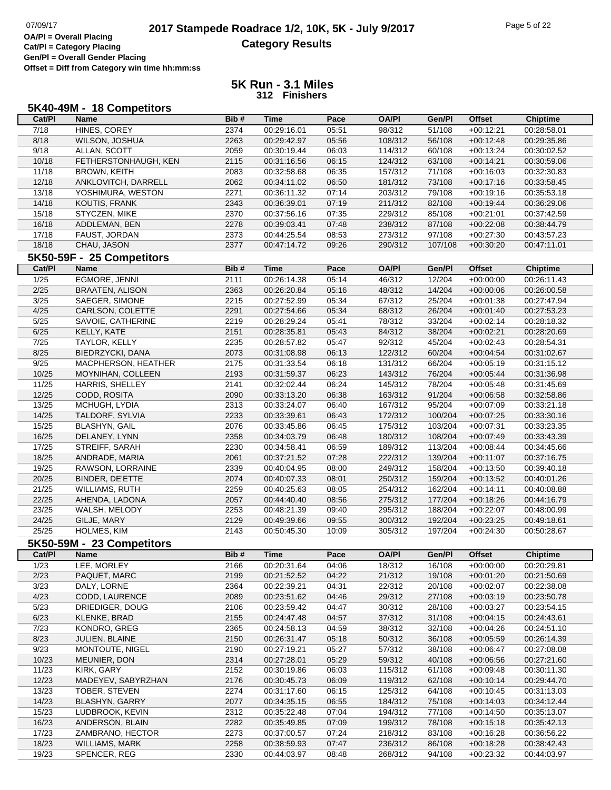# **2017 Stampede Roadrace 1/2, 10K, 5K - July 9/2017** Page 5 of 22<br> **DA/PI** = Overall Placing **2017 Stampede Roadrace 1/2, 10K, 5K - July 9/2017 Category Results**

**Cat/Pl = Category Placing Gen/Pl = Overall Gender Placing**

**Offset = Diff from Category win time hh:mm:ss**

### **5K Run - 3.1 Miles 312 Finishers**

| Cat/PI         | <b>Name</b>                         | Bib#         | Time        | Pace  | <b>OA/PI</b> | Gen/Pl  | <b>Offset</b> | <b>Chiptime</b> |
|----------------|-------------------------------------|--------------|-------------|-------|--------------|---------|---------------|-----------------|
| 7/18           | HINES, COREY                        | 2374         | 00:29:16.01 | 05:51 | 98/312       | 51/108  | $+00:12:21$   | 00:28:58.01     |
| 8/18           | WILSON, JOSHUA                      | 2263         | 00:29:42.97 | 05:56 | 108/312      | 56/108  | $+00:12:48$   | 00:29:35.86     |
| 9/18           | ALLAN, SCOTT                        | 2059         | 00:30:19.44 | 06:03 | 114/312      | 60/108  | $+00:13:24$   | 00:30:02.52     |
| 10/18          | FETHERSTONHAUGH, KEN                | 2115         | 00:31:16.56 | 06:15 | 124/312      | 63/108  | $+00:14:21$   | 00:30:59.06     |
| 11/18          | <b>BROWN, KEITH</b>                 | 2083         | 00:32:58.68 | 06:35 | 157/312      | 71/108  | $+00:16:03$   | 00:32:30.83     |
| 12/18          | ANKLOVITCH, DARRELL                 | 2062         | 00:34:11.02 | 06:50 | 181/312      | 73/108  | $+00:17:16$   | 00:33:58.45     |
| 13/18          | YOSHIMURA, WESTON                   | 2271         | 00:36:11.32 | 07:14 | 203/312      | 79/108  | $+00:19:16$   | 00:35:53.18     |
| 14/18          | KOUTIS, FRANK                       | 2343         | 00:36:39.01 | 07:19 | 211/312      | 82/108  | $+00:19:44$   | 00:36:29.06     |
| 15/18          | STYCZEN, MIKE                       | 2370         | 00:37:56.16 | 07:35 | 229/312      | 85/108  | $+00:21:01$   | 00:37:42.59     |
| 16/18          | ADDLEMAN, BEN                       | 2278         | 00:39:03.41 | 07:48 | 238/312      | 87/108  | $+00:22:08$   | 00:38:44.79     |
| 17/18          | FAUST, JORDAN                       | 2373         | 00:44:25.54 | 08:53 | 273/312      | 97/108  | $+00:27:30$   | 00:43:57.23     |
| 18/18          | CHAU, JASON                         | 2377         | 00:47:14.72 | 09:26 | 290/312      | 107/108 | $+00:30:20$   | 00:47:11.01     |
|                | 5K50-59F - 25 Competitors           |              |             |       |              |         |               |                 |
| Cat/PI         | Name                                | Bib#         | <b>Time</b> | Pace  | <b>OA/PI</b> | Gen/Pl  | <b>Offset</b> | <b>Chiptime</b> |
| $\frac{1}{25}$ | EGMORE, JENNI                       | 2111         | 00:26:14.38 | 05:14 | 46/312       | 12/204  | $+00:00:00$   | 00:26:11.43     |
| $2/25$         | <b>BRAATEN, ALISON</b>              | 2363         | 00:26:20.84 | 05:16 | 48/312       | 14/204  | $+00:00:06$   | 00:26:00.58     |
|                |                                     |              | 00:27:52.99 | 05:34 |              |         |               |                 |
| 3/25           | SAEGER, SIMONE                      | 2215         |             |       | 67/312       | 25/204  | $+00:01:38$   | 00:27:47.94     |
| 4/25           | CARLSON, COLETTE                    | 2291         | 00:27:54.66 | 05:34 | 68/312       | 26/204  | $+00:01:40$   | 00:27:53.23     |
| 5/25           | SAVOIE, CATHERINE                   | 2219         | 00:28:29.24 | 05:41 | 78/312       | 33/204  | $+00:02:14$   | 00:28:18.32     |
| 6/25           | KELLY, KATE                         | 2151         | 00:28:35.81 | 05:43 | 84/312       | 38/204  | $+00:02:21$   | 00:28:20.69     |
| 7/25           | TAYLOR, KELLY                       | 2235         | 00:28:57.82 | 05:47 | 92/312       | 45/204  | $+00:02:43$   | 00:28:54.31     |
| 8/25           | BIEDRZYCKI, DANA                    | 2073         | 00:31:08.98 | 06:13 | 122/312      | 60/204  | $+00:04:54$   | 00:31:02.67     |
| 9/25           | MACPHERSON, HEATHER                 | 2175         | 00:31:33.54 | 06:18 | 131/312      | 66/204  | $+00:05:19$   | 00:31:15.12     |
| 10/25          | MOYNIHAN, COLLEEN                   | 2193         | 00:31:59.37 | 06:23 | 143/312      | 76/204  | $+00:05:44$   | 00:31:36.98     |
| 11/25          | <b>HARRIS, SHELLEY</b>              | 2141         | 00:32:02.44 | 06:24 | 145/312      | 78/204  | $+00:05:48$   | 00:31:45.69     |
| 12/25          | CODD, ROSITA                        | 2090         | 00:33:13.20 | 06:38 | 163/312      | 91/204  | $+00:06:58$   | 00:32:58.86     |
| 13/25          | MCHUGH, LYDIA                       | 2313         | 00:33:24.07 | 06:40 | 167/312      | 95/204  | $+00:07:09$   | 00:33:21.18     |
| 14/25          | TALDORF, SYLVIA                     | 2233         | 00:33:39.61 | 06:43 | 172/312      | 100/204 | $+00:07:25$   | 00:33:30.16     |
| 15/25          | <b>BLASHYN, GAIL</b>                | 2076         | 00:33:45.86 | 06:45 | 175/312      | 103/204 | $+00:07:31$   | 00:33:23.35     |
| 16/25          | DELANEY, LYNN                       | 2358         | 00:34:03.79 | 06:48 | 180/312      | 108/204 | $+00:07:49$   | 00:33:43.39     |
| 17/25          | STREIFF, SARAH                      | 2230         | 00:34:58.41 | 06:59 | 189/312      | 113/204 | $+00:08:44$   | 00:34:45.66     |
| 18/25          | ANDRADE, MARIA                      | 2061         | 00:37:21.52 | 07:28 | 222/312      | 139/204 | $+00:11:07$   | 00:37:16.75     |
| 19/25          | RAWSON, LORRAINE                    | 2339         | 00:40:04.95 | 08:00 | 249/312      | 158/204 | $+00:13:50$   | 00:39:40.18     |
| 20/25          | BINDER, DE'ETTE                     | 2074         | 00:40:07.33 | 08:01 | 250/312      | 159/204 | $+00:13:52$   | 00:40:01.26     |
| 21/25          | <b>WILLIAMS, RUTH</b>               | 2259         | 00:40:25.63 | 08:05 | 254/312      | 162/204 | $+00:14:11$   | 00:40:08.88     |
| 22/25          | AHENDA, LADONA                      | 2057         | 00:44:40.40 | 08:56 | 275/312      | 177/204 | $+00:18:26$   | 00:44:16.79     |
| 23/25          | WALSH, MELODY                       | 2253         | 00:48:21.39 | 09:40 | 295/312      | 188/204 | $+00:22:07$   | 00:48:00.99     |
| 24/25          | GILJE, MARY                         | 2129         | 00:49:39.66 | 09:55 | 300/312      | 192/204 | $+00:23:25$   | 00:49:18.61     |
| 25/25          | HOLMES, KIM                         | 2143         | 00:50:45.30 | 10:09 | 305/312      | 197/204 | $+00:24:30$   | 00:50:28.67     |
|                | 5K50-59M - 23 Competitors           |              |             |       |              |         |               |                 |
| Cat/Pl         | <b>Name</b>                         | Bib#         | Time        | Pace  | <b>OA/PI</b> | Gen/Pl  | <b>Offset</b> | <b>Chiptime</b> |
| 1/23           | LEE, MORLEY                         | 2166         | 00:20:31.64 | 04:06 | 18/312       | 16/108  | $+00.00.00$   | 00:20:29.81     |
| 2/23           | PAQUET, MARC                        | 2199         | 00:21:52.52 | 04:22 | 21/312       | 19/108  | $+00:01:20$   | 00:21:50.69     |
| 3/23           | DALY, LORNE                         | 2364         | 00:22:39.21 | 04:31 | 22/312       | 20/108  | $+00:02:07$   | 00:22:38.08     |
| 4/23           | CODD, LAURENCE                      | 2089         | 00:23:51.62 | 04:46 | 29/312       | 27/108  | $+00:03:19$   | 00:23:50.78     |
| 5/23           | DRIEDIGER, DOUG                     | 2106         | 00:23:59.42 | 04:47 | 30/312       | 28/108  | $+00:03:27$   | 00:23:54.15     |
| 6/23           | KLENKE, BRAD                        | 2155         | 00:24:47.48 | 04:57 | 37/312       | 31/108  | $+00:04:15$   | 00:24:43.61     |
| 7/23           | KONDRO, GREG                        | 2365         | 00:24:58.13 | 04:59 | 38/312       | 32/108  | $+00:04:26$   | 00:24:51.10     |
| 8/23           | JULIEN, BLAINE                      | 2150         | 00:26:31.47 | 05:18 | 50/312       | 36/108  | $+00:05:59$   | 00:26:14.39     |
| 9/23           | MONTOUTE, NIGEL                     | 2190         | 00:27:19.21 | 05:27 | 57/312       | 38/108  | $+00:06:47$   | 00:27:08.08     |
| 10/23          | MEUNIER, DON                        | 2314         | 00:27:28.01 | 05:29 | 59/312       | 40/108  | $+00:06:56$   | 00:27:21.60     |
| 11/23          | KIRK, GARY                          | 2152         | 00:30:19.86 | 06:03 | 115/312      | 61/108  | $+00:09:48$   | 00:30:11.30     |
| 12/23          | MADEYEV, SABYRZHAN                  | 2176         | 00:30:45.73 | 06:09 | 119/312      | 62/108  | $+00:10:14$   | 00:29:44.70     |
| 13/23          | TOBER, STEVEN                       | 2274         | 00:31:17.60 | 06:15 | 125/312      | 64/108  | $+00:10:45$   | 00:31:13.03     |
| 14/23          | <b>BLASHYN, GARRY</b>               | 2077         | 00:34:35.15 | 06:55 | 184/312      | 75/108  | $+00:14:03$   | 00:34:12.44     |
| 15/23          | LUDBROOK, KEVIN                     | 2312         | 00:35:22.48 | 07:04 | 194/312      | 77/108  | $+00:14:50$   | 00:35:13.07     |
|                |                                     |              | 00:35:49.85 | 07:09 | 199/312      | 78/108  | $+00:15:18$   | 00:35:42.13     |
|                |                                     |              |             |       |              |         |               |                 |
| 16/23<br>17/23 | ANDERSON, BLAIN<br>ZAMBRANO, HECTOR | 2282<br>2273 | 00:37:00.57 | 07:24 | 218/312      | 83/108  | $+00:16:28$   | 00:36:56.22     |

19/23 SPENCER, REG 2330 00:44:03.97 08:48 268/312 94/108 +00:23:32 00:44:03.97